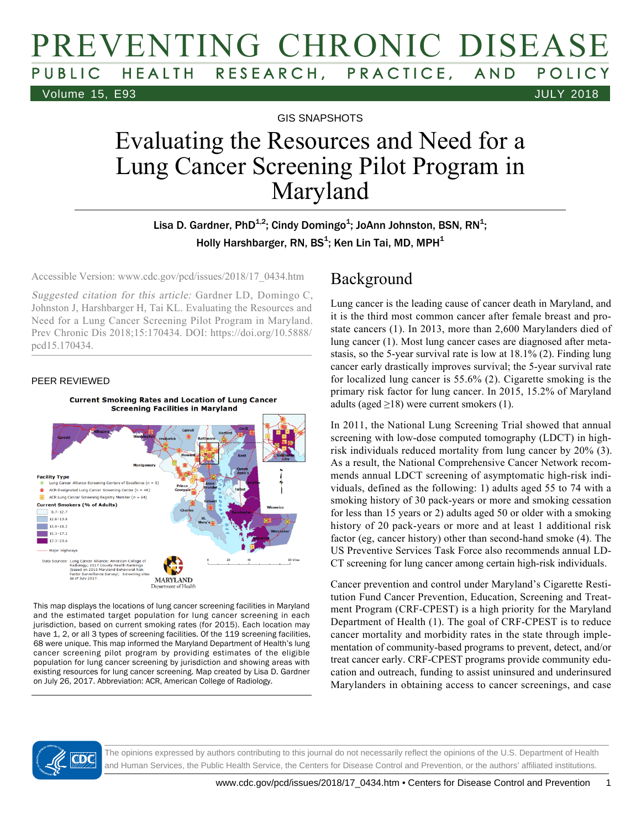# PREVENTING CHRONIC DISEASE PUBLIC HEALTH RESEARCH, PRACTICE, AND POLICY Volume 15, E93 JULY 2018

GIS SNAPSHOTS

# Evaluating the Resources and Need for a Lung Cancer Screening Pilot Program in Maryland

Lisa D. Gardner, PhD $^{1,2}$ ; Cindy Domingo $^1$ ; JoAnn Johnston, BSN, RN $^1$ ; Holly Harshbarger, RN, BS<sup>1</sup>; Ken Lin Tai, MD, MPH<sup>1</sup>

Accessible Version: www.cdc.gov/pcd/issues/2018/17\_0434.htm

Suggested citation for this article: Gardner LD, Domingo C, Johnston J, Harshbarger H, Tai KL. Evaluating the Resources and Need for a Lung Cancer Screening Pilot Program in Maryland. Prev Chronic Dis 2018;15:170434. DOI: https://doi.org/10.5888/ pcd15.170434.

#### PEER REVIEWED



This map displays the locations of lung cancer screening facilities in Maryland and the estimated target population for lung cancer screening in each jurisdiction, based on current smoking rates (for 2015). Each location may have 1, 2, or all 3 types of screening facilities. Of the 119 screening facilities, 68 were unique. This map informed the Maryland Department of Health's lung cancer screening pilot program by providing estimates of the eligible population for lung cancer screening by jurisdiction and showing areas with existing resources for lung cancer screening. Map created by Lisa D. Gardner on July 26, 2017. Abbreviation: ACR, American College of Radiology.

#### Background

Lung cancer is the leading cause of cancer death in Maryland, and it is the third most common cancer after female breast and prostate cancers (1). In 2013, more than 2,600 Marylanders died of lung cancer (1). Most lung cancer cases are diagnosed after metastasis, so the 5-year survival rate is low at 18.1% (2). Finding lung cancer early drastically improves survival; the 5-year survival rate for localized lung cancer is 55.6% (2). Cigarette smoking is the primary risk factor for lung cancer. In 2015, 15.2% of Maryland adults (aged  $\geq$ 18) were current smokers (1).

In 2011, the National Lung Screening Trial showed that annual screening with low-dose computed tomography (LDCT) in highrisk individuals reduced mortality from lung cancer by 20% (3). As a result, the National Comprehensive Cancer Network recommends annual LDCT screening of asymptomatic high-risk individuals, defined as the following: 1) adults aged 55 to 74 with a smoking history of 30 pack-years or more and smoking cessation for less than 15 years or 2) adults aged 50 or older with a smoking history of 20 pack-years or more and at least 1 additional risk factor (eg, cancer history) other than second-hand smoke (4). The US Preventive Services Task Force also recommends annual LD-CT screening for lung cancer among certain high-risk individuals.

Cancer prevention and control under Maryland's Cigarette Restitution Fund Cancer Prevention, Education, Screening and Treatment Program (CRF-CPEST) is a high priority for the Maryland Department of Health (1). The goal of CRF-CPEST is to reduce cancer mortality and morbidity rates in the state through implementation of community-based programs to prevent, detect, and/or treat cancer early. CRF-CPEST programs provide community education and outreach, funding to assist uninsured and underinsured Marylanders in obtaining access to cancer screenings, and case



The opinions expressed by authors contributing to this journal do not necessarily reflect the opinions of the U.S. Department of Health and Human Services, the Public Health Service, the Centers for Disease Control and Prevention, or the authors' affiliated institutions.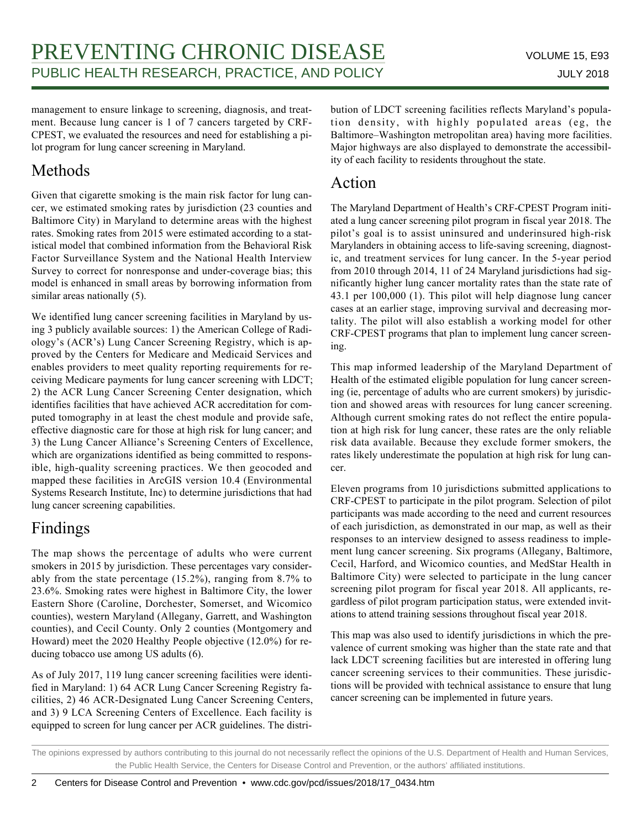management to ensure linkage to screening, diagnosis, and treatment. Because lung cancer is 1 of 7 cancers targeted by CRF-CPEST, we evaluated the resources and need for establishing a pilot program for lung cancer screening in Maryland.

# Methods

Given that cigarette smoking is the main risk factor for lung cancer, we estimated smoking rates by jurisdiction (23 counties and Baltimore City) in Maryland to determine areas with the highest rates. Smoking rates from 2015 were estimated according to a statistical model that combined information from the Behavioral Risk Factor Surveillance System and the National Health Interview Survey to correct for nonresponse and under-coverage bias; this model is enhanced in small areas by borrowing information from similar areas nationally (5).

We identified lung cancer screening facilities in Maryland by using 3 publicly available sources: 1) the American College of Radiology's (ACR's) Lung Cancer Screening Registry, which is approved by the Centers for Medicare and Medicaid Services and enables providers to meet quality reporting requirements for receiving Medicare payments for lung cancer screening with LDCT; 2) the ACR Lung Cancer Screening Center designation, which identifies facilities that have achieved ACR accreditation for computed tomography in at least the chest module and provide safe, effective diagnostic care for those at high risk for lung cancer; and 3) the Lung Cancer Alliance's Screening Centers of Excellence, which are organizations identified as being committed to responsible, high-quality screening practices. We then geocoded and mapped these facilities in ArcGIS version 10.4 (Environmental Systems Research Institute, Inc) to determine jurisdictions that had lung cancer screening capabilities.

# Findings

The map shows the percentage of adults who were current smokers in 2015 by jurisdiction. These percentages vary considerably from the state percentage (15.2%), ranging from 8.7% to 23.6%. Smoking rates were highest in Baltimore City, the lower Eastern Shore (Caroline, Dorchester, Somerset, and Wicomico counties), western Maryland (Allegany, Garrett, and Washington counties), and Cecil County. Only 2 counties (Montgomery and Howard) meet the 2020 Healthy People objective (12.0%) for reducing tobacco use among US adults (6).

As of July 2017, 119 lung cancer screening facilities were identified in Maryland: 1) 64 ACR Lung Cancer Screening Registry facilities, 2) 46 ACR-Designated Lung Cancer Screening Centers, and 3) 9 LCA Screening Centers of Excellence. Each facility is equipped to screen for lung cancer per ACR guidelines. The distribution of LDCT screening facilities reflects Maryland's population density, with highly populated areas (eg, the Baltimore–Washington metropolitan area) having more facilities. Major highways are also displayed to demonstrate the accessibility of each facility to residents throughout the state.

## Action

The Maryland Department of Health's CRF-CPEST Program initiated a lung cancer screening pilot program in fiscal year 2018. The pilot's goal is to assist uninsured and underinsured high-risk Marylanders in obtaining access to life-saving screening, diagnostic, and treatment services for lung cancer. In the 5-year period from 2010 through 2014, 11 of 24 Maryland jurisdictions had significantly higher lung cancer mortality rates than the state rate of 43.1 per 100,000 (1). This pilot will help diagnose lung cancer cases at an earlier stage, improving survival and decreasing mortality. The pilot will also establish a working model for other CRF-CPEST programs that plan to implement lung cancer screening.

This map informed leadership of the Maryland Department of Health of the estimated eligible population for lung cancer screening (ie, percentage of adults who are current smokers) by jurisdiction and showed areas with resources for lung cancer screening. Although current smoking rates do not reflect the entire population at high risk for lung cancer, these rates are the only reliable risk data available. Because they exclude former smokers, the rates likely underestimate the population at high risk for lung cancer.

Eleven programs from 10 jurisdictions submitted applications to CRF-CPEST to participate in the pilot program. Selection of pilot participants was made according to the need and current resources of each jurisdiction, as demonstrated in our map, as well as their responses to an interview designed to assess readiness to implement lung cancer screening. Six programs (Allegany, Baltimore, Cecil, Harford, and Wicomico counties, and MedStar Health in Baltimore City) were selected to participate in the lung cancer screening pilot program for fiscal year 2018. All applicants, regardless of pilot program participation status, were extended invitations to attend training sessions throughout fiscal year 2018.

This map was also used to identify jurisdictions in which the prevalence of current smoking was higher than the state rate and that lack LDCT screening facilities but are interested in offering lung cancer screening services to their communities. These jurisdictions will be provided with technical assistance to ensure that lung cancer screening can be implemented in future years.

The opinions expressed by authors contributing to this journal do not necessarily reflect the opinions of the U.S. Department of Health and Human Services, the Public Health Service, the Centers for Disease Control and Prevention, or the authors' affiliated institutions.